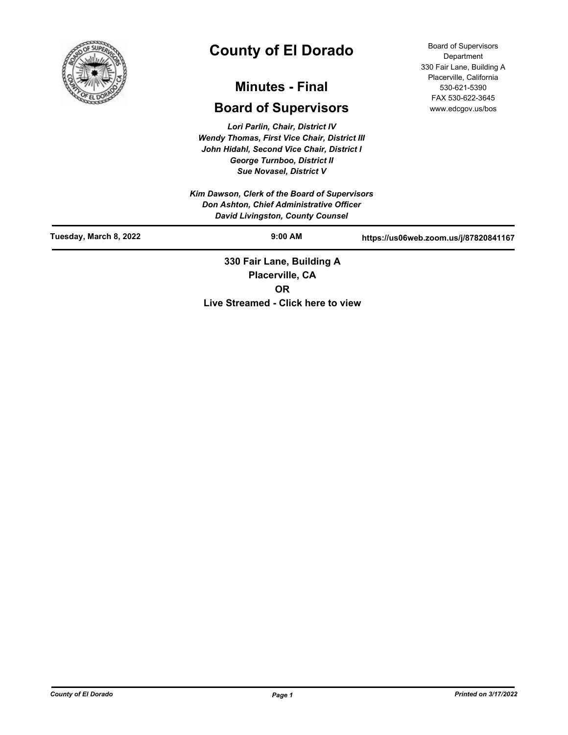

# **County of El Dorado**

## **Minutes - Final**

## **Board of Supervisors**

*Lori Parlin, Chair, District IV Wendy Thomas, First Vice Chair, District III John Hidahl, Second Vice Chair, District I George Turnboo, District II Sue Novasel, District V*

*Kim Dawson, Clerk of the Board of Supervisors Don Ashton, Chief Administrative Officer David Livingston, County Counsel*

Board of Supervisors **Department** 330 Fair Lane, Building A Placerville, California 530-621-5390 FAX 530-622-3645 www.edcgov.us/bos

| Tuesday, March 8, 2022 | $9:00$ AM                                       | https://us06web.zoom.us/j/87820841167 |
|------------------------|-------------------------------------------------|---------------------------------------|
|                        | 330 Fair Lane, Building A<br><b>DIAAAMARAAA</b> |                                       |

**Placerville, CA OR Live Streamed - Click here to view**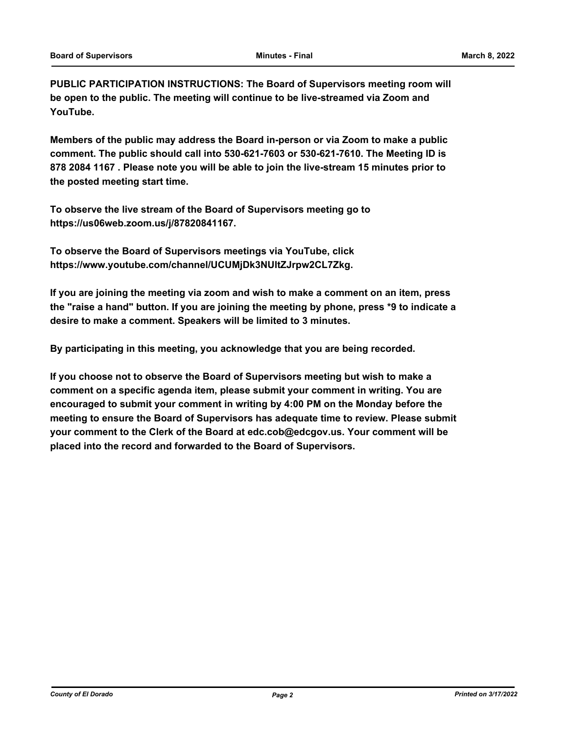**PUBLIC PARTICIPATION INSTRUCTIONS: The Board of Supervisors meeting room will be open to the public. The meeting will continue to be live-streamed via Zoom and YouTube.**

**Members of the public may address the Board in-person or via Zoom to make a public comment. The public should call into 530-621-7603 or 530-621-7610. The Meeting ID is 878 2084 1167 . Please note you will be able to join the live-stream 15 minutes prior to the posted meeting start time.**

**To observe the live stream of the Board of Supervisors meeting go to https://us06web.zoom.us/j/87820841167.**

**To observe the Board of Supervisors meetings via YouTube, click https://www.youtube.com/channel/UCUMjDk3NUltZJrpw2CL7Zkg.**

**If you are joining the meeting via zoom and wish to make a comment on an item, press the "raise a hand" button. If you are joining the meeting by phone, press \*9 to indicate a desire to make a comment. Speakers will be limited to 3 minutes.**

**By participating in this meeting, you acknowledge that you are being recorded.**

**If you choose not to observe the Board of Supervisors meeting but wish to make a comment on a specific agenda item, please submit your comment in writing. You are encouraged to submit your comment in writing by 4:00 PM on the Monday before the meeting to ensure the Board of Supervisors has adequate time to review. Please submit your comment to the Clerk of the Board at edc.cob@edcgov.us. Your comment will be placed into the record and forwarded to the Board of Supervisors.**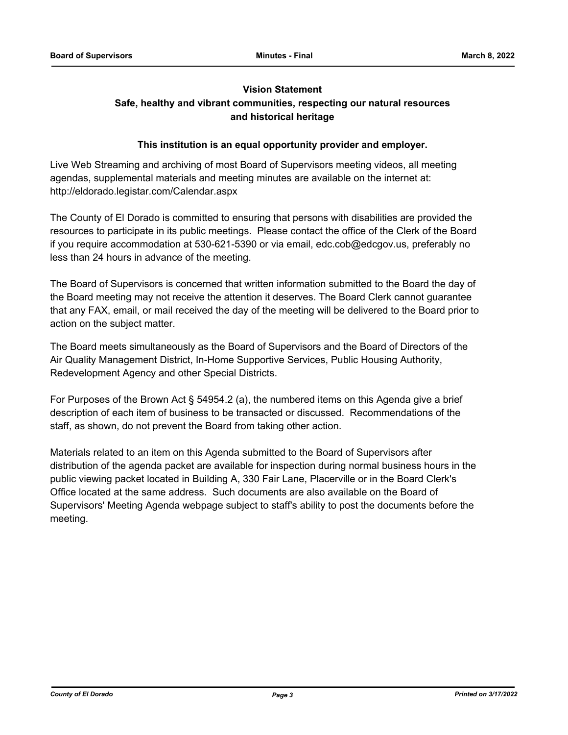## **Vision Statement**

## **Safe, healthy and vibrant communities, respecting our natural resources and historical heritage**

## **This institution is an equal opportunity provider and employer.**

Live Web Streaming and archiving of most Board of Supervisors meeting videos, all meeting agendas, supplemental materials and meeting minutes are available on the internet at: http://eldorado.legistar.com/Calendar.aspx

The County of El Dorado is committed to ensuring that persons with disabilities are provided the resources to participate in its public meetings. Please contact the office of the Clerk of the Board if you require accommodation at 530-621-5390 or via email, edc.cob@edcgov.us, preferably no less than 24 hours in advance of the meeting.

The Board of Supervisors is concerned that written information submitted to the Board the day of the Board meeting may not receive the attention it deserves. The Board Clerk cannot guarantee that any FAX, email, or mail received the day of the meeting will be delivered to the Board prior to action on the subject matter.

The Board meets simultaneously as the Board of Supervisors and the Board of Directors of the Air Quality Management District, In-Home Supportive Services, Public Housing Authority, Redevelopment Agency and other Special Districts.

For Purposes of the Brown Act § 54954.2 (a), the numbered items on this Agenda give a brief description of each item of business to be transacted or discussed. Recommendations of the staff, as shown, do not prevent the Board from taking other action.

Materials related to an item on this Agenda submitted to the Board of Supervisors after distribution of the agenda packet are available for inspection during normal business hours in the public viewing packet located in Building A, 330 Fair Lane, Placerville or in the Board Clerk's Office located at the same address. Such documents are also available on the Board of Supervisors' Meeting Agenda webpage subject to staff's ability to post the documents before the meeting.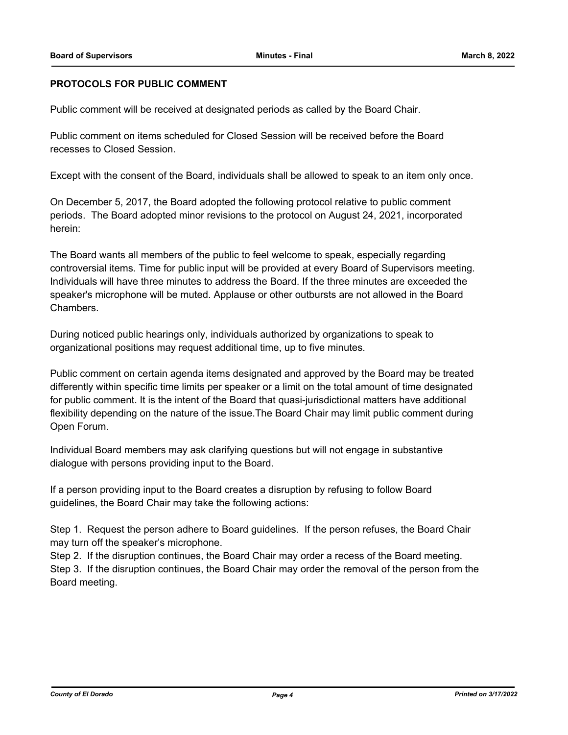## **PROTOCOLS FOR PUBLIC COMMENT**

Public comment will be received at designated periods as called by the Board Chair.

Public comment on items scheduled for Closed Session will be received before the Board recesses to Closed Session.

Except with the consent of the Board, individuals shall be allowed to speak to an item only once.

On December 5, 2017, the Board adopted the following protocol relative to public comment periods. The Board adopted minor revisions to the protocol on August 24, 2021, incorporated herein:

The Board wants all members of the public to feel welcome to speak, especially regarding controversial items. Time for public input will be provided at every Board of Supervisors meeting. Individuals will have three minutes to address the Board. If the three minutes are exceeded the speaker's microphone will be muted. Applause or other outbursts are not allowed in the Board Chambers.

During noticed public hearings only, individuals authorized by organizations to speak to organizational positions may request additional time, up to five minutes.

Public comment on certain agenda items designated and approved by the Board may be treated differently within specific time limits per speaker or a limit on the total amount of time designated for public comment. It is the intent of the Board that quasi-jurisdictional matters have additional flexibility depending on the nature of the issue.The Board Chair may limit public comment during Open Forum.

Individual Board members may ask clarifying questions but will not engage in substantive dialogue with persons providing input to the Board.

If a person providing input to the Board creates a disruption by refusing to follow Board guidelines, the Board Chair may take the following actions:

Step 1. Request the person adhere to Board guidelines. If the person refuses, the Board Chair may turn off the speaker's microphone.

Step 2. If the disruption continues, the Board Chair may order a recess of the Board meeting. Step 3. If the disruption continues, the Board Chair may order the removal of the person from the Board meeting.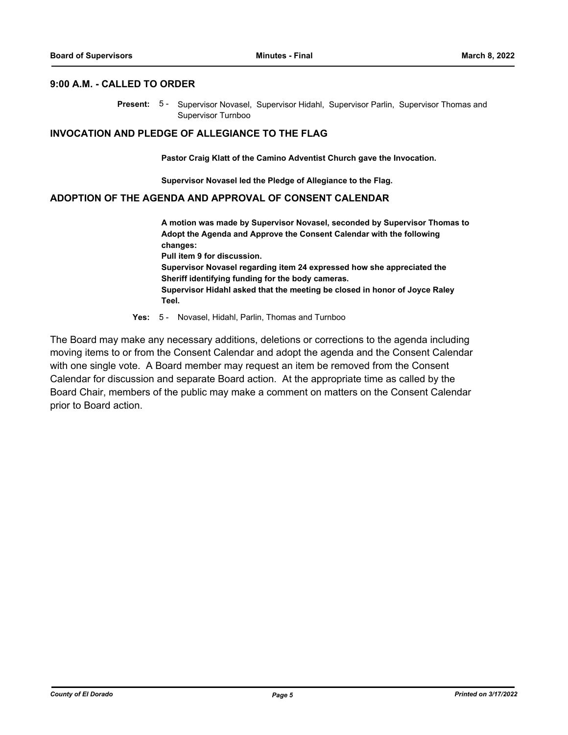#### **9:00 A.M. - CALLED TO ORDER**

Present: 5- Supervisor Novasel, Supervisor Hidahl, Supervisor Parlin, Supervisor Thomas and Supervisor Turnboo

#### **INVOCATION AND PLEDGE OF ALLEGIANCE TO THE FLAG**

**Pastor Craig Klatt of the Camino Adventist Church gave the Invocation.**

**Supervisor Novasel led the Pledge of Allegiance to the Flag.**

### **ADOPTION OF THE AGENDA AND APPROVAL OF CONSENT CALENDAR**

**A motion was made by Supervisor Novasel, seconded by Supervisor Thomas to Adopt the Agenda and Approve the Consent Calendar with the following changes: Pull item 9 for discussion. Supervisor Novasel regarding item 24 expressed how she appreciated the Sheriff identifying funding for the body cameras. Supervisor Hidahl asked that the meeting be closed in honor of Joyce Raley Teel.**

**Yes:** 5 - Novasel, Hidahl, Parlin, Thomas and Turnboo

The Board may make any necessary additions, deletions or corrections to the agenda including moving items to or from the Consent Calendar and adopt the agenda and the Consent Calendar with one single vote. A Board member may request an item be removed from the Consent Calendar for discussion and separate Board action. At the appropriate time as called by the Board Chair, members of the public may make a comment on matters on the Consent Calendar prior to Board action.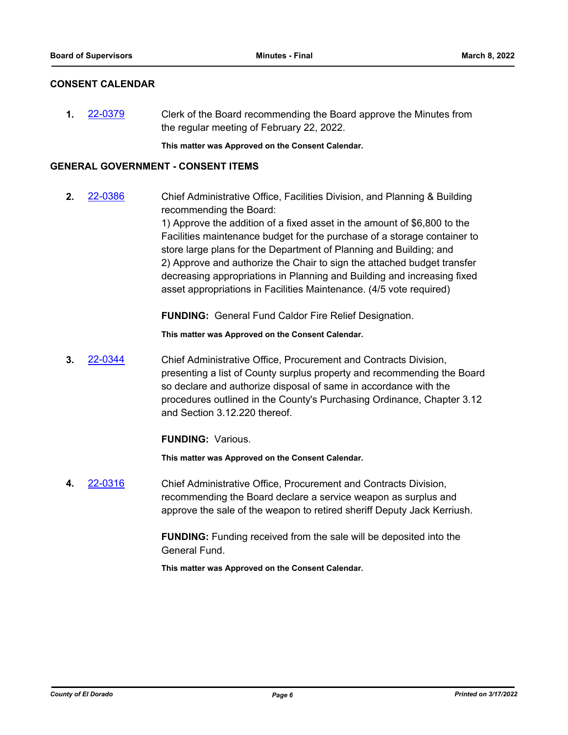## **CONSENT CALENDAR**

**1.** [22-0379](http://eldorado.legistar.com/gateway.aspx?m=l&id=/matter.aspx?key=31280) Clerk of the Board recommending the Board approve the Minutes from the regular meeting of February 22, 2022.

**This matter was Approved on the Consent Calendar.**

## **GENERAL GOVERNMENT - CONSENT ITEMS**

**2.** [22-0386](http://eldorado.legistar.com/gateway.aspx?m=l&id=/matter.aspx?key=31287) Chief Administrative Office, Facilities Division, and Planning & Building recommending the Board: 1) Approve the addition of a fixed asset in the amount of \$6,800 to the Facilities maintenance budget for the purchase of a storage container to store large plans for the Department of Planning and Building; and 2) Approve and authorize the Chair to sign the attached budget transfer decreasing appropriations in Planning and Building and increasing fixed asset appropriations in Facilities Maintenance. (4/5 vote required)

**FUNDING:** General Fund Caldor Fire Relief Designation.

**This matter was Approved on the Consent Calendar.**

**3.** [22-0344](http://eldorado.legistar.com/gateway.aspx?m=l&id=/matter.aspx?key=31245) Chief Administrative Office, Procurement and Contracts Division, presenting a list of County surplus property and recommending the Board so declare and authorize disposal of same in accordance with the procedures outlined in the County's Purchasing Ordinance, Chapter 3.12 and Section 3.12.220 thereof.

**FUNDING:** Various.

**This matter was Approved on the Consent Calendar.**

**4.** [22-0316](http://eldorado.legistar.com/gateway.aspx?m=l&id=/matter.aspx?key=31217) Chief Administrative Office, Procurement and Contracts Division, recommending the Board declare a service weapon as surplus and approve the sale of the weapon to retired sheriff Deputy Jack Kerriush.

> **FUNDING:** Funding received from the sale will be deposited into the General Fund.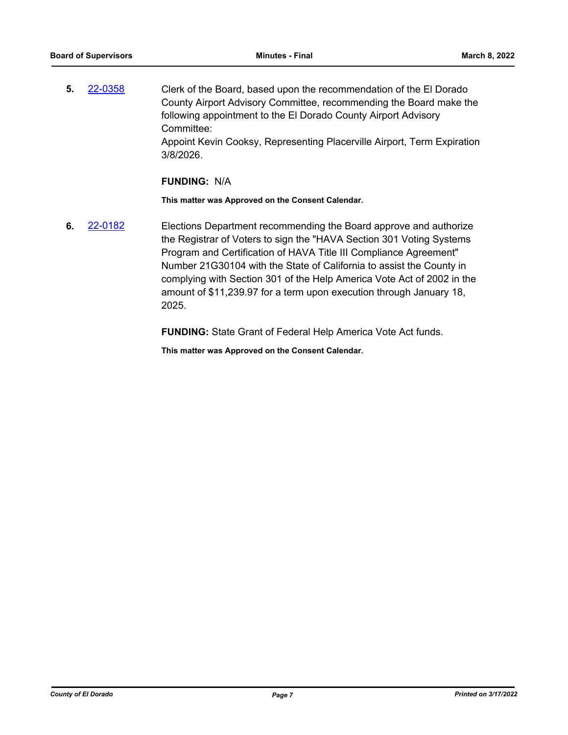**5.** [22-0358](http://eldorado.legistar.com/gateway.aspx?m=l&id=/matter.aspx?key=31259) Clerk of the Board, based upon the recommendation of the El Dorado County Airport Advisory Committee, recommending the Board make the following appointment to the El Dorado County Airport Advisory Committee: Appoint Kevin Cooksy, Representing Placerville Airport, Term Expiration 3/8/2026.

#### **FUNDING:** N/A

**This matter was Approved on the Consent Calendar.**

**6.** [22-0182](http://eldorado.legistar.com/gateway.aspx?m=l&id=/matter.aspx?key=31083) Elections Department recommending the Board approve and authorize the Registrar of Voters to sign the "HAVA Section 301 Voting Systems Program and Certification of HAVA Title III Compliance Agreement" Number 21G30104 with the State of California to assist the County in complying with Section 301 of the Help America Vote Act of 2002 in the amount of \$11,239.97 for a term upon execution through January 18, 2025.

**FUNDING:** State Grant of Federal Help America Vote Act funds.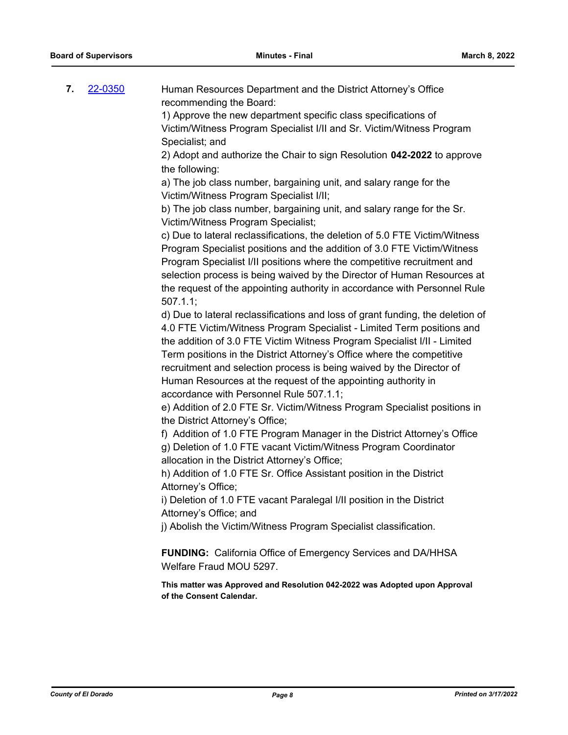| 7. | 22-0350 | Human Resources Department and the District Attorney's Office<br>recommending the Board:                                                                                                                                                                                                                                                                                                                                                                                                           |
|----|---------|----------------------------------------------------------------------------------------------------------------------------------------------------------------------------------------------------------------------------------------------------------------------------------------------------------------------------------------------------------------------------------------------------------------------------------------------------------------------------------------------------|
|    |         | 1) Approve the new department specific class specifications of                                                                                                                                                                                                                                                                                                                                                                                                                                     |
|    |         | Victim/Witness Program Specialist I/II and Sr. Victim/Witness Program<br>Specialist; and                                                                                                                                                                                                                                                                                                                                                                                                           |
|    |         | 2) Adopt and authorize the Chair to sign Resolution 042-2022 to approve<br>the following:                                                                                                                                                                                                                                                                                                                                                                                                          |
|    |         | a) The job class number, bargaining unit, and salary range for the<br>Victim/Witness Program Specialist I/II;                                                                                                                                                                                                                                                                                                                                                                                      |
|    |         | b) The job class number, bargaining unit, and salary range for the Sr.<br>Victim/Witness Program Specialist;                                                                                                                                                                                                                                                                                                                                                                                       |
|    |         | c) Due to lateral reclassifications, the deletion of 5.0 FTE Victim/Witness<br>Program Specialist positions and the addition of 3.0 FTE Victim/Witness<br>Program Specialist I/II positions where the competitive recruitment and                                                                                                                                                                                                                                                                  |
|    |         | selection process is being waived by the Director of Human Resources at<br>the request of the appointing authority in accordance with Personnel Rule<br>507.1.1;                                                                                                                                                                                                                                                                                                                                   |
|    |         | d) Due to lateral reclassifications and loss of grant funding, the deletion of<br>4.0 FTE Victim/Witness Program Specialist - Limited Term positions and<br>the addition of 3.0 FTE Victim Witness Program Specialist I/II - Limited<br>Term positions in the District Attorney's Office where the competitive<br>recruitment and selection process is being waived by the Director of<br>Human Resources at the request of the appointing authority in<br>accordance with Personnel Rule 507.1.1; |
|    |         | e) Addition of 2.0 FTE Sr. Victim/Witness Program Specialist positions in<br>the District Attorney's Office;                                                                                                                                                                                                                                                                                                                                                                                       |
|    |         | f) Addition of 1.0 FTE Program Manager in the District Attorney's Office<br>g) Deletion of 1.0 FTE vacant Victim/Witness Program Coordinator<br>allocation in the District Attorney's Office;                                                                                                                                                                                                                                                                                                      |
|    |         | h) Addition of 1.0 FTE Sr. Office Assistant position in the District<br>Attorney's Office;                                                                                                                                                                                                                                                                                                                                                                                                         |
|    |         | i) Deletion of 1.0 FTE vacant Paralegal I/II position in the District<br>Attorney's Office; and                                                                                                                                                                                                                                                                                                                                                                                                    |
|    |         | j) Abolish the Victim/Witness Program Specialist classification.                                                                                                                                                                                                                                                                                                                                                                                                                                   |
|    |         | <b>FUNDING:</b> California Office of Emergency Services and DA/HHSA<br>Welfare Fraud MOU 5297.                                                                                                                                                                                                                                                                                                                                                                                                     |
|    |         | This matter was Approved and Resolution 042-2022 was Adopted upon Approval<br>of the Consent Calendar.                                                                                                                                                                                                                                                                                                                                                                                             |
|    |         |                                                                                                                                                                                                                                                                                                                                                                                                                                                                                                    |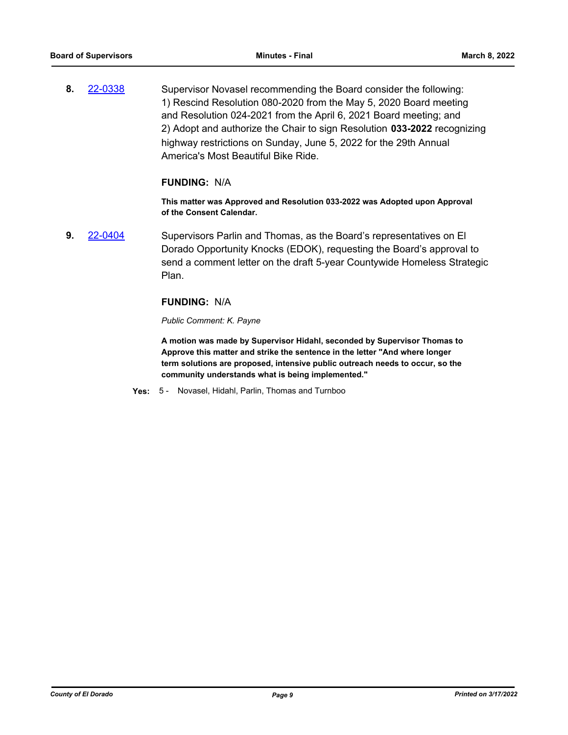**8.** [22-0338](http://eldorado.legistar.com/gateway.aspx?m=l&id=/matter.aspx?key=31239) Supervisor Novasel recommending the Board consider the following: 1) Rescind Resolution 080-2020 from the May 5, 2020 Board meeting and Resolution 024-2021 from the April 6, 2021 Board meeting; and 2) Adopt and authorize the Chair to sign Resolution **033-2022** recognizing highway restrictions on Sunday, June 5, 2022 for the 29th Annual America's Most Beautiful Bike Ride.

#### **FUNDING:** N/A

**This matter was Approved and Resolution 033-2022 was Adopted upon Approval of the Consent Calendar.**

**9.** [22-0404](http://eldorado.legistar.com/gateway.aspx?m=l&id=/matter.aspx?key=31305) Supervisors Parlin and Thomas, as the Board's representatives on El Dorado Opportunity Knocks (EDOK), requesting the Board's approval to send a comment letter on the draft 5-year Countywide Homeless Strategic Plan.

#### **FUNDING:** N/A

#### *Public Comment: K. Payne*

**A motion was made by Supervisor Hidahl, seconded by Supervisor Thomas to Approve this matter and strike the sentence in the letter "And where longer term solutions are proposed, intensive public outreach needs to occur, so the community understands what is being implemented."**

**Yes:** 5 - Novasel, Hidahl, Parlin, Thomas and Turnboo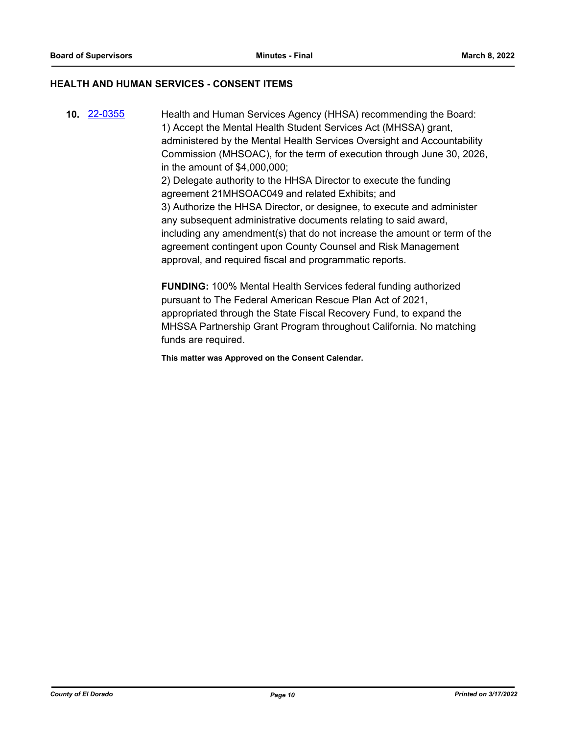## **HEALTH AND HUMAN SERVICES - CONSENT ITEMS**

**10.** [22-0355](http://eldorado.legistar.com/gateway.aspx?m=l&id=/matter.aspx?key=31256) Health and Human Services Agency (HHSA) recommending the Board: 1) Accept the Mental Health Student Services Act (MHSSA) grant, administered by the Mental Health Services Oversight and Accountability Commission (MHSOAC), for the term of execution through June 30, 2026, in the amount of \$4,000,000; 2) Delegate authority to the HHSA Director to execute the funding agreement 21MHSOAC049 and related Exhibits; and 3) Authorize the HHSA Director, or designee, to execute and administer any subsequent administrative documents relating to said award, including any amendment(s) that do not increase the amount or term of the agreement contingent upon County Counsel and Risk Management approval, and required fiscal and programmatic reports.

> **FUNDING:** 100% Mental Health Services federal funding authorized pursuant to The Federal American Rescue Plan Act of 2021, appropriated through the State Fiscal Recovery Fund, to expand the MHSSA Partnership Grant Program throughout California. No matching funds are required.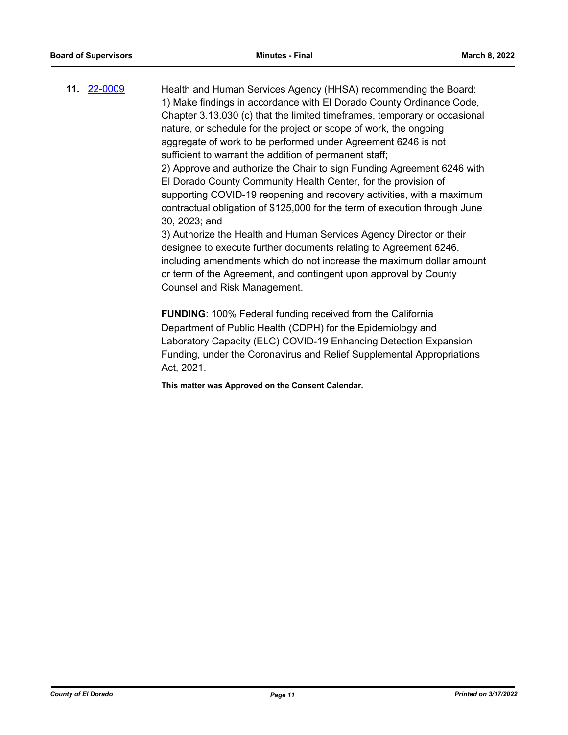**11.** [22-0009](http://eldorado.legistar.com/gateway.aspx?m=l&id=/matter.aspx?key=30909) Health and Human Services Agency (HHSA) recommending the Board: 1) Make findings in accordance with El Dorado County Ordinance Code, Chapter 3.13.030 (c) that the limited timeframes, temporary or occasional nature, or schedule for the project or scope of work, the ongoing aggregate of work to be performed under Agreement 6246 is not sufficient to warrant the addition of permanent staff; 2) Approve and authorize the Chair to sign Funding Agreement 6246 with El Dorado County Community Health Center, for the provision of supporting COVID-19 reopening and recovery activities, with a maximum contractual obligation of \$125,000 for the term of execution through June 30, 2023; and 3) Authorize the Health and Human Services Agency Director or their designee to execute further documents relating to Agreement 6246,

including amendments which do not increase the maximum dollar amount or term of the Agreement, and contingent upon approval by County Counsel and Risk Management.

**FUNDING**: 100% Federal funding received from the California Department of Public Health (CDPH) for the Epidemiology and Laboratory Capacity (ELC) COVID-19 Enhancing Detection Expansion Funding, under the Coronavirus and Relief Supplemental Appropriations Act, 2021.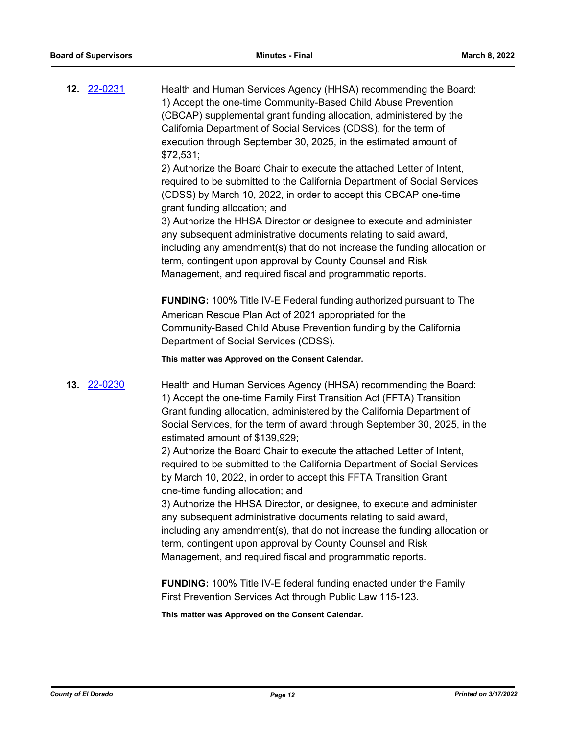|             | Health and Human Services Agency (HHSA) recommending the Board:<br>1) Accept the one-time Community-Based Child Abuse Prevention<br>(CBCAP) supplemental grant funding allocation, administered by the<br>California Department of Social Services (CDSS), for the term of<br>execution through September 30, 2025, in the estimated amount of<br>\$72,531;<br>2) Authorize the Board Chair to execute the attached Letter of Intent,<br>required to be submitted to the California Department of Social Services<br>(CDSS) by March 10, 2022, in order to accept this CBCAP one-time<br>grant funding allocation; and<br>3) Authorize the HHSA Director or designee to execute and administer<br>any subsequent administrative documents relating to said award,<br>including any amendment(s) that do not increase the funding allocation or<br>term, contingent upon approval by County Counsel and Risk<br>Management, and required fiscal and programmatic reports.<br><b>FUNDING:</b> 100% Title IV-E Federal funding authorized pursuant to The<br>American Rescue Plan Act of 2021 appropriated for the |
|-------------|-----------------------------------------------------------------------------------------------------------------------------------------------------------------------------------------------------------------------------------------------------------------------------------------------------------------------------------------------------------------------------------------------------------------------------------------------------------------------------------------------------------------------------------------------------------------------------------------------------------------------------------------------------------------------------------------------------------------------------------------------------------------------------------------------------------------------------------------------------------------------------------------------------------------------------------------------------------------------------------------------------------------------------------------------------------------------------------------------------------------|
|             | Community-Based Child Abuse Prevention funding by the California<br>Department of Social Services (CDSS).                                                                                                                                                                                                                                                                                                                                                                                                                                                                                                                                                                                                                                                                                                                                                                                                                                                                                                                                                                                                       |
|             | This matter was Approved on the Consent Calendar.                                                                                                                                                                                                                                                                                                                                                                                                                                                                                                                                                                                                                                                                                                                                                                                                                                                                                                                                                                                                                                                               |
| 13. 22-0230 | Health and Human Services Agency (HHSA) recommending the Board:<br>1) Accept the one-time Family First Transition Act (FFTA) Transition<br>Grant funding allocation, administered by the California Department of<br>Social Services, for the term of award through September 30, 2025, in the<br>estimated amount of \$139,929;                                                                                                                                                                                                                                                                                                                                                                                                                                                                                                                                                                                                                                                                                                                                                                                |
|             | 2) Authorize the Board Chair to execute the attached Letter of Intent,<br>required to be submitted to the California Department of Social Services<br>by March 10, 2022, in order to accept this FFTA Transition Grant<br>one-time funding allocation; and                                                                                                                                                                                                                                                                                                                                                                                                                                                                                                                                                                                                                                                                                                                                                                                                                                                      |
|             | 3) Authorize the HHSA Director, or designee, to execute and administer<br>any subsequent administrative documents relating to said award,<br>including any amendment(s), that do not increase the funding allocation or<br>term, contingent upon approval by County Counsel and Risk<br>Management, and required fiscal and programmatic reports.                                                                                                                                                                                                                                                                                                                                                                                                                                                                                                                                                                                                                                                                                                                                                               |
|             | <b>FUNDING:</b> 100% Title IV-E federal funding enacted under the Family                                                                                                                                                                                                                                                                                                                                                                                                                                                                                                                                                                                                                                                                                                                                                                                                                                                                                                                                                                                                                                        |

**This matter was Approved on the Consent Calendar.**

First Prevention Services Act through Public Law 115-123.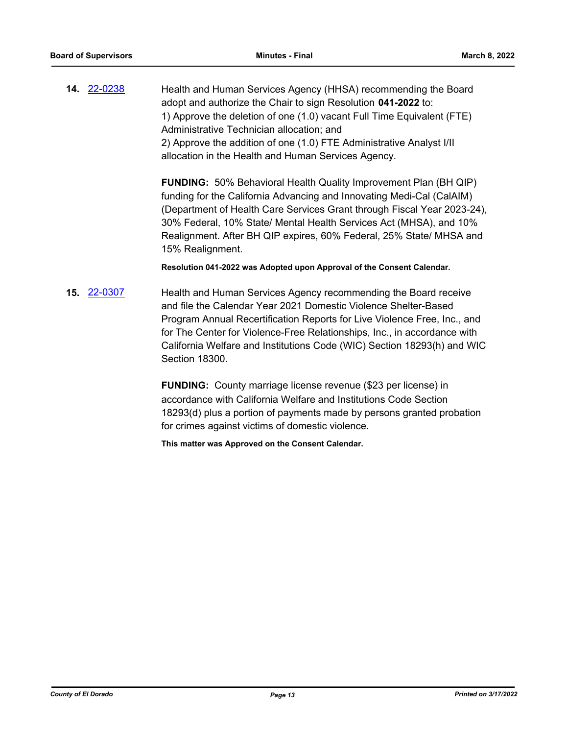**14.** [22-0238](http://eldorado.legistar.com/gateway.aspx?m=l&id=/matter.aspx?key=31139) Health and Human Services Agency (HHSA) recommending the Board adopt and authorize the Chair to sign Resolution **041-2022** to: 1) Approve the deletion of one (1.0) vacant Full Time Equivalent (FTE) Administrative Technician allocation; and 2) Approve the addition of one (1.0) FTE Administrative Analyst I/II allocation in the Health and Human Services Agency.

> **FUNDING:** 50% Behavioral Health Quality Improvement Plan (BH QIP) funding for the California Advancing and Innovating Medi-Cal (CalAIM) (Department of Health Care Services Grant through Fiscal Year 2023-24), 30% Federal, 10% State/ Mental Health Services Act (MHSA), and 10% Realignment. After BH QIP expires, 60% Federal, 25% State/ MHSA and 15% Realignment.

**Resolution 041-2022 was Adopted upon Approval of the Consent Calendar.**

**15.** [22-0307](http://eldorado.legistar.com/gateway.aspx?m=l&id=/matter.aspx?key=31208) Health and Human Services Agency recommending the Board receive and file the Calendar Year 2021 Domestic Violence Shelter-Based Program Annual Recertification Reports for Live Violence Free, Inc., and for The Center for Violence-Free Relationships, Inc., in accordance with California Welfare and Institutions Code (WIC) Section 18293(h) and WIC Section 18300.

> **FUNDING:** County marriage license revenue (\$23 per license) in accordance with California Welfare and Institutions Code Section 18293(d) plus a portion of payments made by persons granted probation for crimes against victims of domestic violence.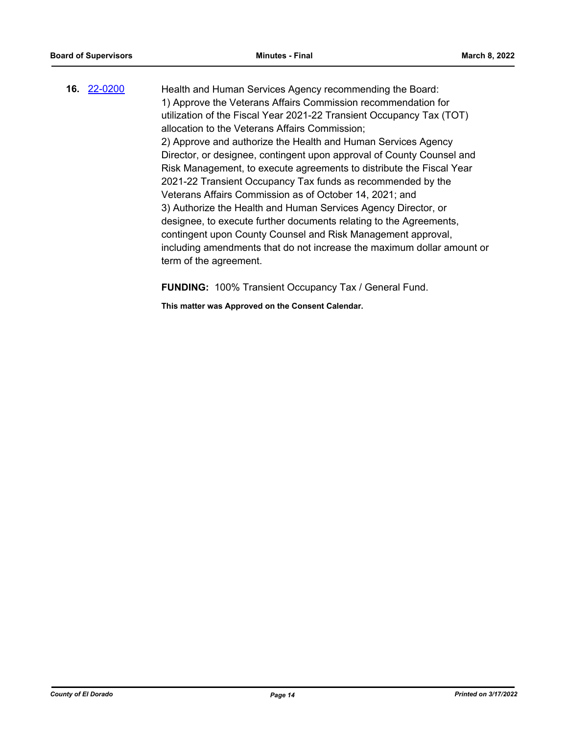**16.** [22-0200](http://eldorado.legistar.com/gateway.aspx?m=l&id=/matter.aspx?key=31101) Health and Human Services Agency recommending the Board: 1) Approve the Veterans Affairs Commission recommendation for utilization of the Fiscal Year 2021-22 Transient Occupancy Tax (TOT) allocation to the Veterans Affairs Commission; 2) Approve and authorize the Health and Human Services Agency Director, or designee, contingent upon approval of County Counsel and Risk Management, to execute agreements to distribute the Fiscal Year 2021-22 Transient Occupancy Tax funds as recommended by the Veterans Affairs Commission as of October 14, 2021; and 3) Authorize the Health and Human Services Agency Director, or designee, to execute further documents relating to the Agreements, contingent upon County Counsel and Risk Management approval, including amendments that do not increase the maximum dollar amount or term of the agreement.

**FUNDING:** 100% Transient Occupancy Tax / General Fund.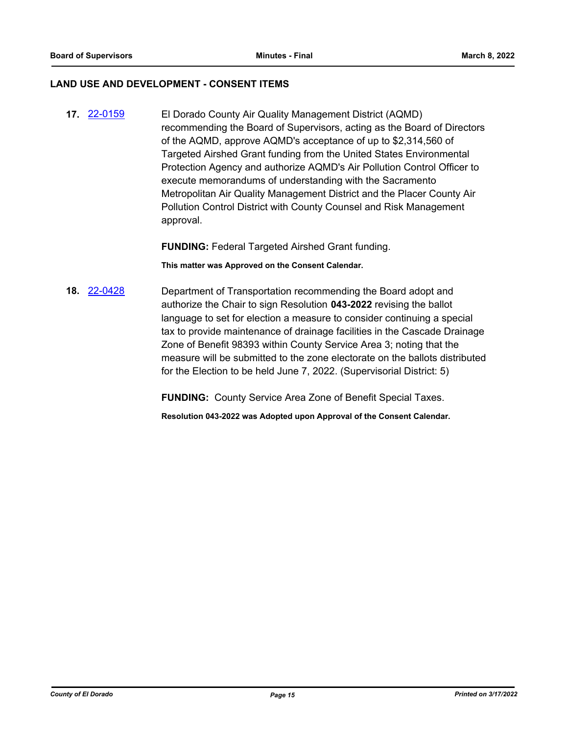#### **LAND USE AND DEVELOPMENT - CONSENT ITEMS**

**17.** [22-0159](http://eldorado.legistar.com/gateway.aspx?m=l&id=/matter.aspx?key=31060) El Dorado County Air Quality Management District (AQMD) recommending the Board of Supervisors, acting as the Board of Directors of the AQMD, approve AQMD's acceptance of up to \$2,314,560 of Targeted Airshed Grant funding from the United States Environmental Protection Agency and authorize AQMD's Air Pollution Control Officer to execute memorandums of understanding with the Sacramento Metropolitan Air Quality Management District and the Placer County Air Pollution Control District with County Counsel and Risk Management approval.

**FUNDING:** Federal Targeted Airshed Grant funding.

**This matter was Approved on the Consent Calendar.**

**18.** [22-0428](http://eldorado.legistar.com/gateway.aspx?m=l&id=/matter.aspx?key=31329) Department of Transportation recommending the Board adopt and authorize the Chair to sign Resolution **043-2022** revising the ballot language to set for election a measure to consider continuing a special tax to provide maintenance of drainage facilities in the Cascade Drainage Zone of Benefit 98393 within County Service Area 3; noting that the measure will be submitted to the zone electorate on the ballots distributed for the Election to be held June 7, 2022. (Supervisorial District: 5)

**FUNDING:** County Service Area Zone of Benefit Special Taxes.

**Resolution 043-2022 was Adopted upon Approval of the Consent Calendar.**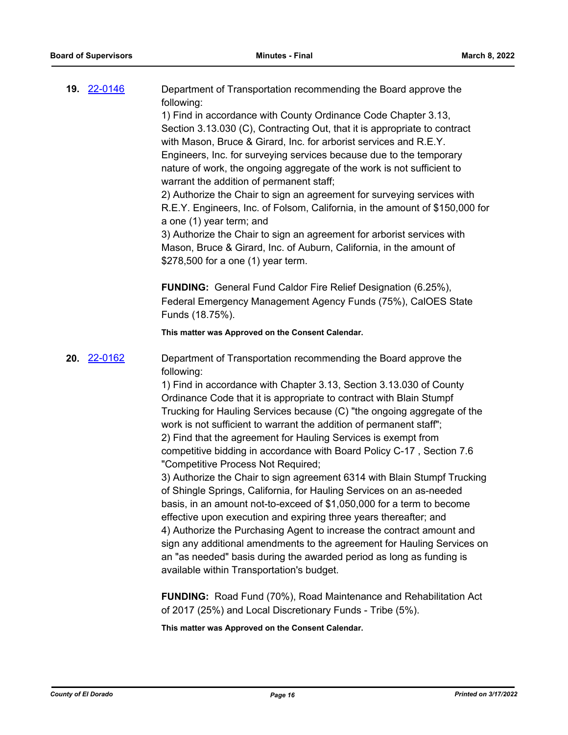| <b>19. 22-0146</b> | Department of Transportation recommending the Board approve the<br>following:<br>1) Find in accordance with County Ordinance Code Chapter 3.13,<br>Section 3.13.030 (C), Contracting Out, that it is appropriate to contract<br>with Mason, Bruce & Girard, Inc. for arborist services and R.E.Y.<br>Engineers, Inc. for surveying services because due to the temporary<br>nature of work, the ongoing aggregate of the work is not sufficient to<br>warrant the addition of permanent staff;<br>2) Authorize the Chair to sign an agreement for surveying services with<br>R.E.Y. Engineers, Inc. of Folsom, California, in the amount of \$150,000 for<br>a one (1) year term; and<br>3) Authorize the Chair to sign an agreement for arborist services with<br>Mason, Bruce & Girard, Inc. of Auburn, California, in the amount of<br>\$278,500 for a one (1) year term.<br><b>FUNDING:</b> General Fund Caldor Fire Relief Designation (6.25%),<br>Federal Emergency Management Agency Funds (75%), CalOES State                                                                                                                     |
|--------------------|-------------------------------------------------------------------------------------------------------------------------------------------------------------------------------------------------------------------------------------------------------------------------------------------------------------------------------------------------------------------------------------------------------------------------------------------------------------------------------------------------------------------------------------------------------------------------------------------------------------------------------------------------------------------------------------------------------------------------------------------------------------------------------------------------------------------------------------------------------------------------------------------------------------------------------------------------------------------------------------------------------------------------------------------------------------------------------------------------------------------------------------------|
|                    | Funds (18.75%).                                                                                                                                                                                                                                                                                                                                                                                                                                                                                                                                                                                                                                                                                                                                                                                                                                                                                                                                                                                                                                                                                                                           |
|                    | This matter was Approved on the Consent Calendar.                                                                                                                                                                                                                                                                                                                                                                                                                                                                                                                                                                                                                                                                                                                                                                                                                                                                                                                                                                                                                                                                                         |
| 20. 22-0162        | Department of Transportation recommending the Board approve the<br>following:<br>1) Find in accordance with Chapter 3.13, Section 3.13.030 of County<br>Ordinance Code that it is appropriate to contract with Blain Stumpf<br>Trucking for Hauling Services because (C) "the ongoing aggregate of the<br>work is not sufficient to warrant the addition of permanent staff";<br>2) Find that the agreement for Hauling Services is exempt from<br>competitive bidding in accordance with Board Policy C-17, Section 7.6<br>"Competitive Process Not Required;<br>3) Authorize the Chair to sign agreement 6314 with Blain Stumpf Trucking<br>of Shingle Springs, California, for Hauling Services on an as-needed<br>basis, in an amount not-to-exceed of \$1,050,000 for a term to become<br>effective upon execution and expiring three years thereafter; and<br>4) Authorize the Purchasing Agent to increase the contract amount and<br>sign any additional amendments to the agreement for Hauling Services on<br>an "as needed" basis during the awarded period as long as funding is<br>available within Transportation's budget. |
|                    | FUNDING: Road Fund (70%), Road Maintenance and Rehabilitation Act<br>of 2017 (25%) and Local Discretionary Funds - Tribe (5%).                                                                                                                                                                                                                                                                                                                                                                                                                                                                                                                                                                                                                                                                                                                                                                                                                                                                                                                                                                                                            |
|                    | This matter was Approved on the Consent Calendar.                                                                                                                                                                                                                                                                                                                                                                                                                                                                                                                                                                                                                                                                                                                                                                                                                                                                                                                                                                                                                                                                                         |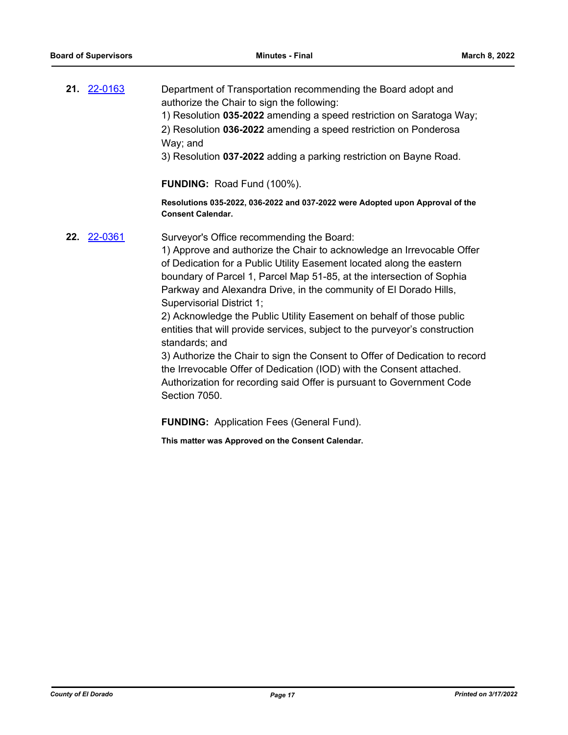**21.** [22-0163](http://eldorado.legistar.com/gateway.aspx?m=l&id=/matter.aspx?key=31064) Department of Transportation recommending the Board adopt and authorize the Chair to sign the following: 1) Resolution **035-2022** amending a speed restriction on Saratoga Way; 2) Resolution **036-2022** amending a speed restriction on Ponderosa Way; and

3) Resolution **037-2022** adding a parking restriction on Bayne Road.

**FUNDING:** Road Fund (100%).

**Resolutions 035-2022, 036-2022 and 037-2022 were Adopted upon Approval of the Consent Calendar.**

**22.** [22-0361](http://eldorado.legistar.com/gateway.aspx?m=l&id=/matter.aspx?key=31262) Surveyor's Office recommending the Board:

1) Approve and authorize the Chair to acknowledge an Irrevocable Offer of Dedication for a Public Utility Easement located along the eastern boundary of Parcel 1, Parcel Map 51-85, at the intersection of Sophia Parkway and Alexandra Drive, in the community of El Dorado Hills, Supervisorial District 1;

2) Acknowledge the Public Utility Easement on behalf of those public entities that will provide services, subject to the purveyor's construction standards; and

3) Authorize the Chair to sign the Consent to Offer of Dedication to record the Irrevocable Offer of Dedication (IOD) with the Consent attached. Authorization for recording said Offer is pursuant to Government Code Section 7050.

**FUNDING:** Application Fees (General Fund).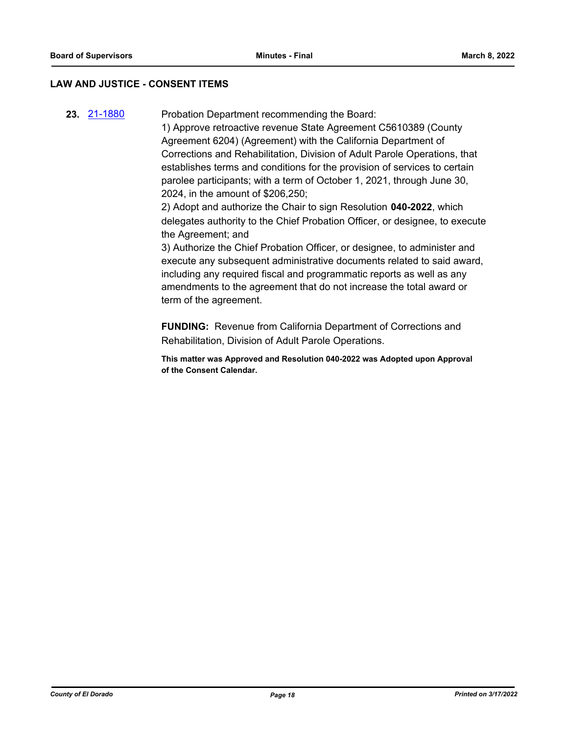## **LAW AND JUSTICE - CONSENT ITEMS**

**23.** [21-1880](http://eldorado.legistar.com/gateway.aspx?m=l&id=/matter.aspx?key=30776) Probation Department recommending the Board:

1) Approve retroactive revenue State Agreement C5610389 (County Agreement 6204) (Agreement) with the California Department of Corrections and Rehabilitation, Division of Adult Parole Operations, that establishes terms and conditions for the provision of services to certain parolee participants; with a term of October 1, 2021, through June 30, 2024, in the amount of \$206,250;

2) Adopt and authorize the Chair to sign Resolution **040-2022**, which delegates authority to the Chief Probation Officer, or designee, to execute the Agreement; and

3) Authorize the Chief Probation Officer, or designee, to administer and execute any subsequent administrative documents related to said award, including any required fiscal and programmatic reports as well as any amendments to the agreement that do not increase the total award or term of the agreement.

**FUNDING:** Revenue from California Department of Corrections and Rehabilitation, Division of Adult Parole Operations.

**This matter was Approved and Resolution 040-2022 was Adopted upon Approval of the Consent Calendar.**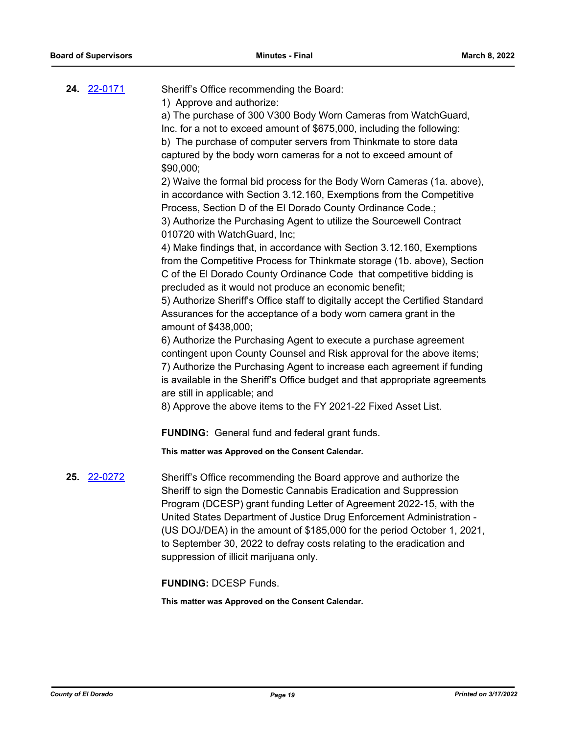| 24. 22-0171 | Sheriff's Office recommending the Board:<br>1) Approve and authorize:<br>a) The purchase of 300 V300 Body Worn Cameras from WatchGuard,<br>Inc. for a not to exceed amount of \$675,000, including the following:<br>b) The purchase of computer servers from Thinkmate to store data<br>captured by the body worn cameras for a not to exceed amount of<br>\$90,000;<br>2) Waive the formal bid process for the Body Worn Cameras (1a. above),<br>in accordance with Section 3.12.160, Exemptions from the Competitive<br>Process, Section D of the El Dorado County Ordinance Code.;<br>3) Authorize the Purchasing Agent to utilize the Sourcewell Contract<br>010720 with WatchGuard, Inc;<br>4) Make findings that, in accordance with Section 3.12.160, Exemptions<br>from the Competitive Process for Thinkmate storage (1b. above), Section<br>C of the El Dorado County Ordinance Code that competitive bidding is<br>precluded as it would not produce an economic benefit;<br>5) Authorize Sheriff's Office staff to digitally accept the Certified Standard<br>Assurances for the acceptance of a body worn camera grant in the<br>amount of \$438,000;<br>6) Authorize the Purchasing Agent to execute a purchase agreement<br>contingent upon County Counsel and Risk approval for the above items;<br>7) Authorize the Purchasing Agent to increase each agreement if funding<br>is available in the Sheriff's Office budget and that appropriate agreements<br>are still in applicable; and<br>8) Approve the above items to the FY 2021-22 Fixed Asset List.<br><b>FUNDING:</b> General fund and federal grant funds.<br>This matter was Approved on the Consent Calendar. |
|-------------|---------------------------------------------------------------------------------------------------------------------------------------------------------------------------------------------------------------------------------------------------------------------------------------------------------------------------------------------------------------------------------------------------------------------------------------------------------------------------------------------------------------------------------------------------------------------------------------------------------------------------------------------------------------------------------------------------------------------------------------------------------------------------------------------------------------------------------------------------------------------------------------------------------------------------------------------------------------------------------------------------------------------------------------------------------------------------------------------------------------------------------------------------------------------------------------------------------------------------------------------------------------------------------------------------------------------------------------------------------------------------------------------------------------------------------------------------------------------------------------------------------------------------------------------------------------------------------------------------------------------------------------------------------------------------------------------|
| 25. 22-0272 | Sheriff's Office recommending the Board approve and authorize the<br>Sheriff to sign the Domestic Cannabis Eradication and Suppression<br>Program (DCESP) grant funding Letter of Agreement 2022-15, with the<br>United States Department of Justice Drug Enforcement Administration -<br>(US DOJ/DEA) in the amount of \$185,000 for the period October 1, 2021,<br>to September 30, 2022 to defray costs relating to the eradication and<br>suppression of illicit marijuana only.                                                                                                                                                                                                                                                                                                                                                                                                                                                                                                                                                                                                                                                                                                                                                                                                                                                                                                                                                                                                                                                                                                                                                                                                        |

**FUNDING:** DCESP Funds.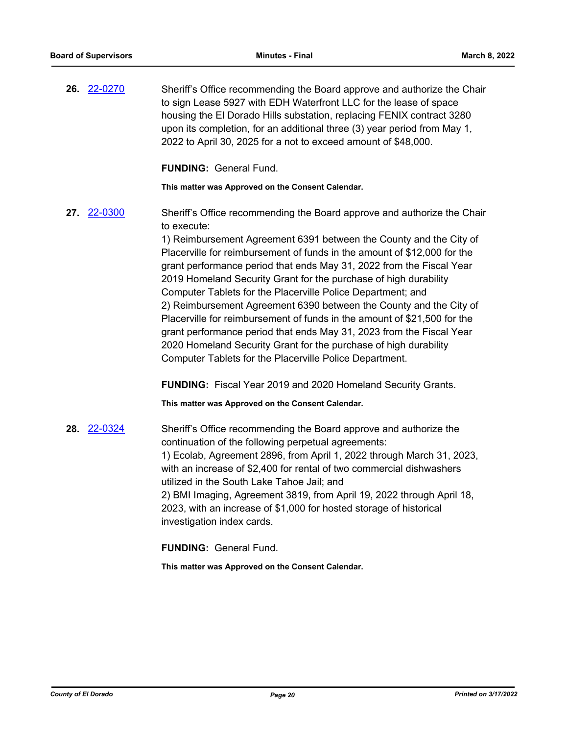**26.** [22-0270](http://eldorado.legistar.com/gateway.aspx?m=l&id=/matter.aspx?key=31171) Sheriff's Office recommending the Board approve and authorize the Chair to sign Lease 5927 with EDH Waterfront LLC for the lease of space housing the El Dorado Hills substation, replacing FENIX contract 3280 upon its completion, for an additional three (3) year period from May 1, 2022 to April 30, 2025 for a not to exceed amount of \$48,000.

**FUNDING:** General Fund.

**This matter was Approved on the Consent Calendar.**

**27.** [22-0300](http://eldorado.legistar.com/gateway.aspx?m=l&id=/matter.aspx?key=31201) Sheriff's Office recommending the Board approve and authorize the Chair to execute:

> 1) Reimbursement Agreement 6391 between the County and the City of Placerville for reimbursement of funds in the amount of \$12,000 for the grant performance period that ends May 31, 2022 from the Fiscal Year 2019 Homeland Security Grant for the purchase of high durability Computer Tablets for the Placerville Police Department; and 2) Reimbursement Agreement 6390 between the County and the City of Placerville for reimbursement of funds in the amount of \$21,500 for the grant performance period that ends May 31, 2023 from the Fiscal Year 2020 Homeland Security Grant for the purchase of high durability Computer Tablets for the Placerville Police Department.

**FUNDING:** Fiscal Year 2019 and 2020 Homeland Security Grants.

**This matter was Approved on the Consent Calendar.**

**28.** [22-0324](http://eldorado.legistar.com/gateway.aspx?m=l&id=/matter.aspx?key=31225) Sheriff's Office recommending the Board approve and authorize the continuation of the following perpetual agreements: 1) Ecolab, Agreement 2896, from April 1, 2022 through March 31, 2023, with an increase of \$2,400 for rental of two commercial dishwashers utilized in the South Lake Tahoe Jail; and 2) BMI Imaging, Agreement 3819, from April 19, 2022 through April 18, 2023, with an increase of \$1,000 for hosted storage of historical investigation index cards.

**FUNDING:** General Fund.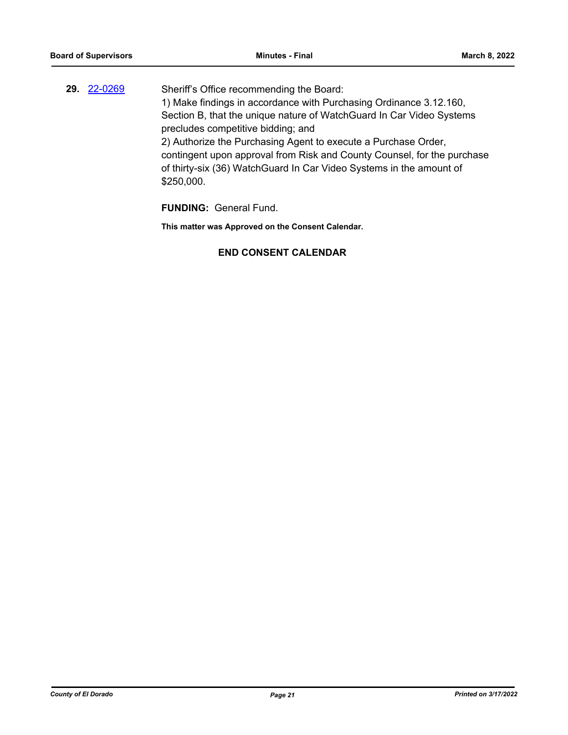**29.** [22-0269](http://eldorado.legistar.com/gateway.aspx?m=l&id=/matter.aspx?key=31170) Sheriff's Office recommending the Board: 1) Make findings in accordance with Purchasing Ordinance 3.12.160, Section B, that the unique nature of WatchGuard In Car Video Systems precludes competitive bidding; and 2) Authorize the Purchasing Agent to execute a Purchase Order, contingent upon approval from Risk and County Counsel, for the purchase of thirty-six (36) WatchGuard In Car Video Systems in the amount of \$250,000.

**FUNDING:** General Fund.

**This matter was Approved on the Consent Calendar.**

## **END CONSENT CALENDAR**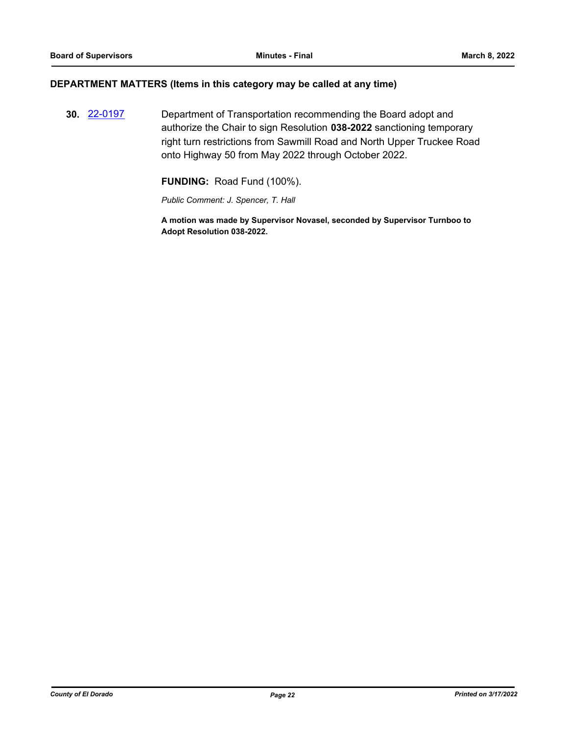## **DEPARTMENT MATTERS (Items in this category may be called at any time)**

**30.** [22-0197](http://eldorado.legistar.com/gateway.aspx?m=l&id=/matter.aspx?key=31098) Department of Transportation recommending the Board adopt and authorize the Chair to sign Resolution **038-2022** sanctioning temporary right turn restrictions from Sawmill Road and North Upper Truckee Road onto Highway 50 from May 2022 through October 2022.

**FUNDING:** Road Fund (100%).

*Public Comment: J. Spencer, T. Hall*

**A motion was made by Supervisor Novasel, seconded by Supervisor Turnboo to Adopt Resolution 038-2022.**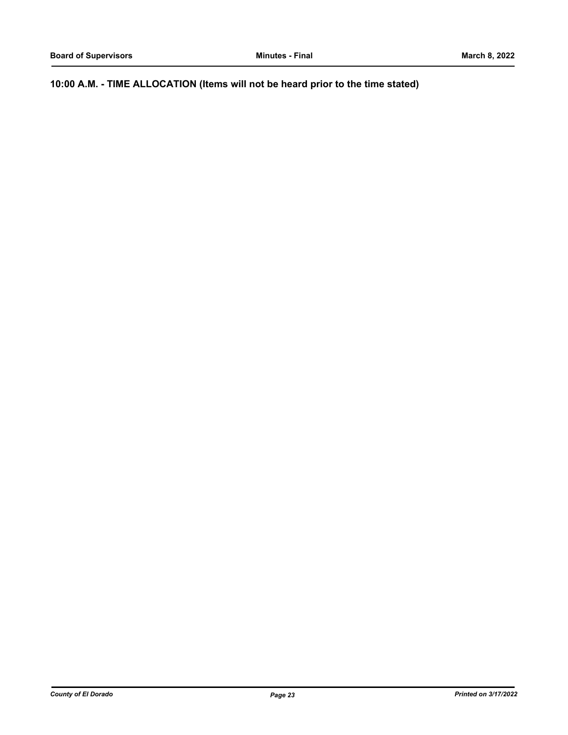**10:00 A.M. - TIME ALLOCATION (Items will not be heard prior to the time stated)**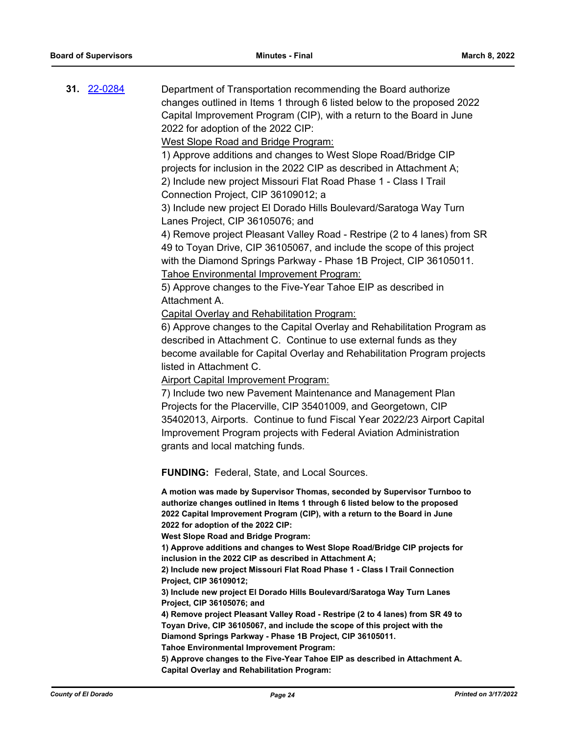**31.** [22-0284](http://eldorado.legistar.com/gateway.aspx?m=l&id=/matter.aspx?key=31185) Department of Transportation recommending the Board authorize changes outlined in Items 1 through 6 listed below to the proposed 2022 Capital Improvement Program (CIP), with a return to the Board in June 2022 for adoption of the 2022 CIP:

West Slope Road and Bridge Program:

1) Approve additions and changes to West Slope Road/Bridge CIP projects for inclusion in the 2022 CIP as described in Attachment A; 2) Include new project Missouri Flat Road Phase 1 - Class I Trail Connection Project, CIP 36109012; a

3) Include new project El Dorado Hills Boulevard/Saratoga Way Turn Lanes Project, CIP 36105076; and

4) Remove project Pleasant Valley Road - Restripe (2 to 4 lanes) from SR 49 to Toyan Drive, CIP 36105067, and include the scope of this project with the Diamond Springs Parkway - Phase 1B Project, CIP 36105011. Tahoe Environmental Improvement Program:

5) Approve changes to the Five-Year Tahoe EIP as described in Attachment A.

Capital Overlay and Rehabilitation Program:

6) Approve changes to the Capital Overlay and Rehabilitation Program as described in Attachment C. Continue to use external funds as they become available for Capital Overlay and Rehabilitation Program projects listed in Attachment C.

Airport Capital Improvement Program:

7) Include two new Pavement Maintenance and Management Plan Projects for the Placerville, CIP 35401009, and Georgetown, CIP 35402013, Airports. Continue to fund Fiscal Year 2022/23 Airport Capital Improvement Program projects with Federal Aviation Administration grants and local matching funds.

**FUNDING:** Federal, State, and Local Sources.

**A motion was made by Supervisor Thomas, seconded by Supervisor Turnboo to authorize changes outlined in Items 1 through 6 listed below to the proposed 2022 Capital Improvement Program (CIP), with a return to the Board in June 2022 for adoption of the 2022 CIP:**

**West Slope Road and Bridge Program:**

**1) Approve additions and changes to West Slope Road/Bridge CIP projects for inclusion in the 2022 CIP as described in Attachment A;** 

**2) Include new project Missouri Flat Road Phase 1 - Class I Trail Connection Project, CIP 36109012;** 

**3) Include new project El Dorado Hills Boulevard/Saratoga Way Turn Lanes Project, CIP 36105076; and**

**4) Remove project Pleasant Valley Road - Restripe (2 to 4 lanes) from SR 49 to Toyan Drive, CIP 36105067, and include the scope of this project with the Diamond Springs Parkway - Phase 1B Project, CIP 36105011.**

**Tahoe Environmental Improvement Program:**

**5) Approve changes to the Five-Year Tahoe EIP as described in Attachment A. Capital Overlay and Rehabilitation Program:**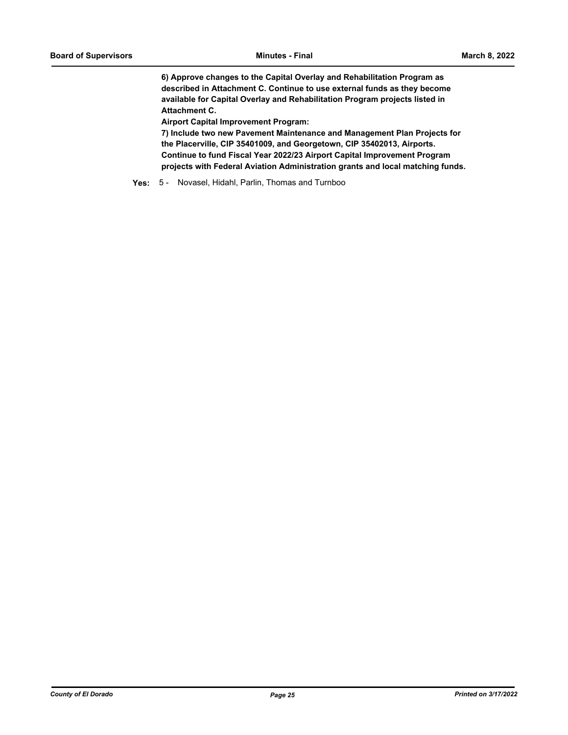**6) Approve changes to the Capital Overlay and Rehabilitation Program as described in Attachment C. Continue to use external funds as they become available for Capital Overlay and Rehabilitation Program projects listed in Attachment C.**

**Airport Capital Improvement Program:**

**7) Include two new Pavement Maintenance and Management Plan Projects for the Placerville, CIP 35401009, and Georgetown, CIP 35402013, Airports. Continue to fund Fiscal Year 2022/23 Airport Capital Improvement Program projects with Federal Aviation Administration grants and local matching funds.**

**Yes:** 5 - Novasel, Hidahl, Parlin, Thomas and Turnboo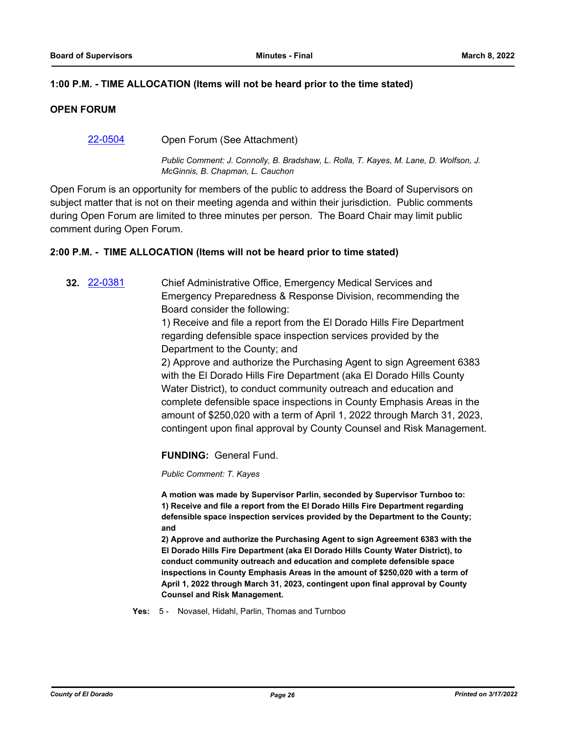## **1:00 P.M. - TIME ALLOCATION (Items will not be heard prior to the time stated)**

## **OPEN FORUM**

## [22-0504](http://eldorado.legistar.com/gateway.aspx?m=l&id=/matter.aspx?key=31405) Open Forum (See Attachment)

*Public Comment: J. Connolly, B. Bradshaw, L. Rolla, T. Kayes, M. Lane, D. Wolfson, J. McGinnis, B. Chapman, L. Cauchon*

Open Forum is an opportunity for members of the public to address the Board of Supervisors on subject matter that is not on their meeting agenda and within their jurisdiction. Public comments during Open Forum are limited to three minutes per person. The Board Chair may limit public comment during Open Forum.

## **2:00 P.M. - TIME ALLOCATION (Items will not be heard prior to time stated)**

**32.** [22-0381](http://eldorado.legistar.com/gateway.aspx?m=l&id=/matter.aspx?key=31282) Chief Administrative Office, Emergency Medical Services and Emergency Preparedness & Response Division, recommending the Board consider the following:

> 1) Receive and file a report from the El Dorado Hills Fire Department regarding defensible space inspection services provided by the Department to the County; and

2) Approve and authorize the Purchasing Agent to sign Agreement 6383 with the El Dorado Hills Fire Department (aka El Dorado Hills County Water District), to conduct community outreach and education and complete defensible space inspections in County Emphasis Areas in the amount of \$250,020 with a term of April 1, 2022 through March 31, 2023, contingent upon final approval by County Counsel and Risk Management.

**FUNDING:** General Fund.

*Public Comment: T. Kayes*

**A motion was made by Supervisor Parlin, seconded by Supervisor Turnboo to: 1) Receive and file a report from the El Dorado Hills Fire Department regarding defensible space inspection services provided by the Department to the County; and**

**2) Approve and authorize the Purchasing Agent to sign Agreement 6383 with the El Dorado Hills Fire Department (aka El Dorado Hills County Water District), to conduct community outreach and education and complete defensible space inspections in County Emphasis Areas in the amount of \$250,020 with a term of April 1, 2022 through March 31, 2023, contingent upon final approval by County Counsel and Risk Management.**

**Yes:** 5 - Novasel, Hidahl, Parlin, Thomas and Turnboo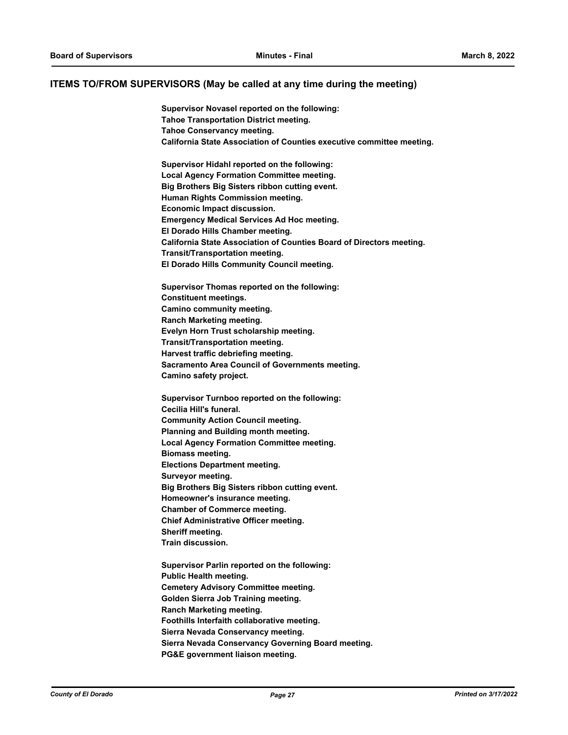#### **ITEMS TO/FROM SUPERVISORS (May be called at any time during the meeting)**

**Supervisor Novasel reported on the following: Tahoe Transportation District meeting. Tahoe Conservancy meeting. California State Association of Counties executive committee meeting. Supervisor Hidahl reported on the following: Local Agency Formation Committee meeting. Big Brothers Big Sisters ribbon cutting event.**

**Human Rights Commission meeting. Economic Impact discussion. Emergency Medical Services Ad Hoc meeting. El Dorado Hills Chamber meeting. California State Association of Counties Board of Directors meeting. Transit/Transportation meeting. El Dorado Hills Community Council meeting.**

**Supervisor Thomas reported on the following: Constituent meetings. Camino community meeting. Ranch Marketing meeting. Evelyn Horn Trust scholarship meeting. Transit/Transportation meeting. Harvest traffic debriefing meeting. Sacramento Area Council of Governments meeting. Camino safety project.**

**Supervisor Turnboo reported on the following: Cecilia Hill's funeral. Community Action Council meeting. Planning and Building month meeting. Local Agency Formation Committee meeting. Biomass meeting. Elections Department meeting. Surveyor meeting. Big Brothers Big Sisters ribbon cutting event. Homeowner's insurance meeting. Chamber of Commerce meeting. Chief Administrative Officer meeting. Sheriff meeting. Train discussion.**

**Supervisor Parlin reported on the following: Public Health meeting. Cemetery Advisory Committee meeting. Golden Sierra Job Training meeting. Ranch Marketing meeting. Foothills Interfaith collaborative meeting. Sierra Nevada Conservancy meeting. Sierra Nevada Conservancy Governing Board meeting. PG&E government liaison meeting.**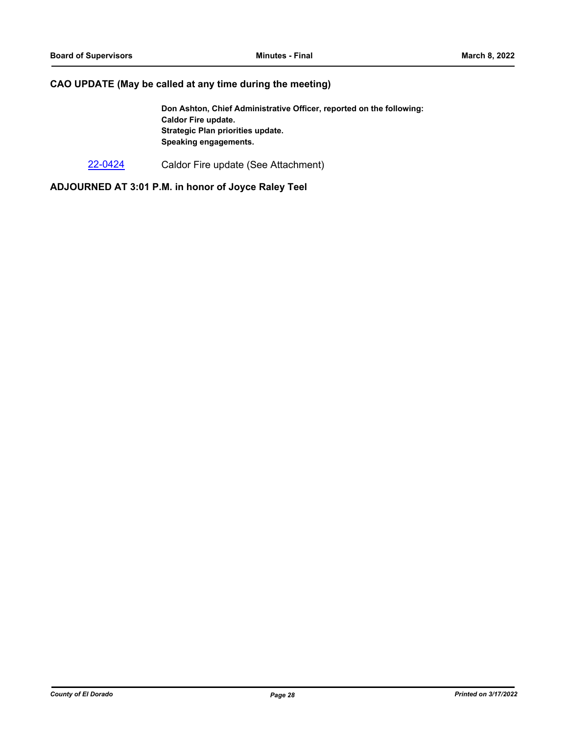## **CAO UPDATE (May be called at any time during the meeting)**

**Don Ashton, Chief Administrative Officer, reported on the following: Caldor Fire update. Strategic Plan priorities update. Speaking engagements.**

[22-0424](http://eldorado.legistar.com/gateway.aspx?m=l&id=/matter.aspx?key=31325) Caldor Fire update (See Attachment)

**ADJOURNED AT 3:01 P.M. in honor of Joyce Raley Teel**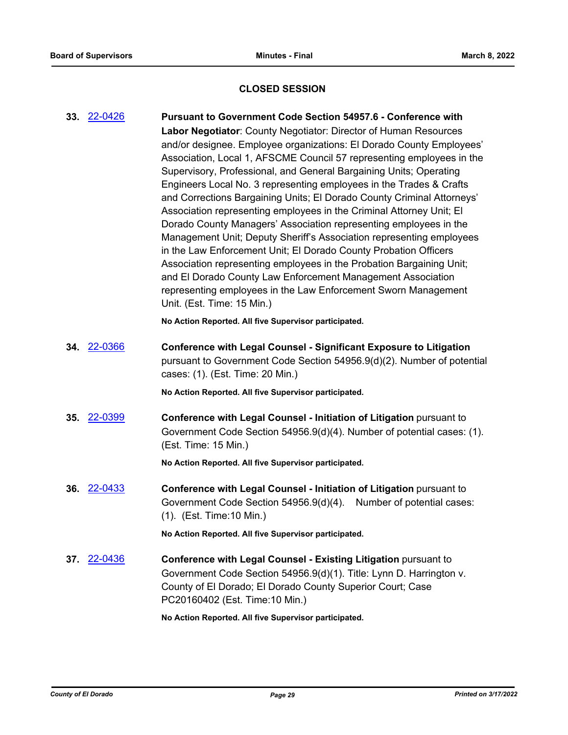## **CLOSED SESSION**

**33.** [22-0426](http://eldorado.legistar.com/gateway.aspx?m=l&id=/matter.aspx?key=31327) **Pursuant to Government Code Section 54957.6 - Conference with Labor Negotiator**: County Negotiator: Director of Human Resources and/or designee. Employee organizations: El Dorado County Employees' Association, Local 1, AFSCME Council 57 representing employees in the Supervisory, Professional, and General Bargaining Units; Operating Engineers Local No. 3 representing employees in the Trades & Crafts and Corrections Bargaining Units; El Dorado County Criminal Attorneys' Association representing employees in the Criminal Attorney Unit; El Dorado County Managers' Association representing employees in the Management Unit; Deputy Sheriff's Association representing employees in the Law Enforcement Unit; El Dorado County Probation Officers Association representing employees in the Probation Bargaining Unit; and El Dorado County Law Enforcement Management Association representing employees in the Law Enforcement Sworn Management Unit. (Est. Time: 15 Min.) **No Action Reported. All five Supervisor participated. 34.** [22-0366](http://eldorado.legistar.com/gateway.aspx?m=l&id=/matter.aspx?key=31267) **Conference with Legal Counsel - Significant Exposure to Litigation** pursuant to Government Code Section 54956.9(d)(2). Number of potential cases: (1). (Est. Time: 20 Min.) **No Action Reported. All five Supervisor participated. 35.** [22-0399](http://eldorado.legistar.com/gateway.aspx?m=l&id=/matter.aspx?key=31300) **Conference with Legal Counsel - Initiation of Litigation** pursuant to Government Code Section 54956.9(d)(4). Number of potential cases: (1). (Est. Time: 15 Min.) **No Action Reported. All five Supervisor participated. 36.** [22-0433](http://eldorado.legistar.com/gateway.aspx?m=l&id=/matter.aspx?key=31334) **Conference with Legal Counsel - Initiation of Litigation** pursuant to Government Code Section 54956.9(d)(4). Number of potential cases: (1). (Est. Time:10 Min.) **No Action Reported. All five Supervisor participated. 37.** [22-0436](http://eldorado.legistar.com/gateway.aspx?m=l&id=/matter.aspx?key=31337) **Conference with Legal Counsel - Existing Litigation** pursuant to Government Code Section 54956.9(d)(1). Title: Lynn D. Harrington v. County of El Dorado; El Dorado County Superior Court; Case PC20160402 (Est. Time:10 Min.) **No Action Reported. All five Supervisor participated.**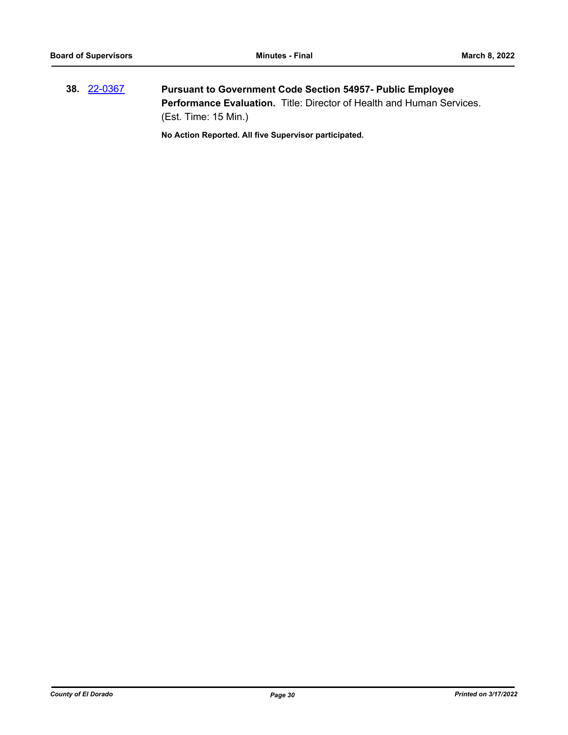**38.** [22-0367](http://eldorado.legistar.com/gateway.aspx?m=l&id=/matter.aspx?key=31268) **Pursuant to Government Code Section 54957- Public Employee Performance Evaluation.** Title: Director of Health and Human Services. (Est. Time: 15 Min.)

**No Action Reported. All five Supervisor participated.**